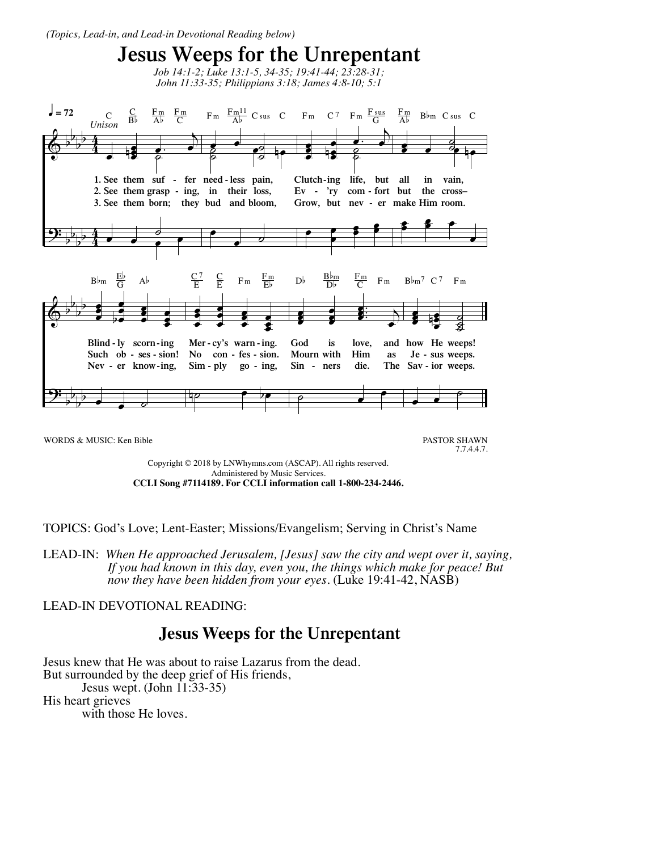*(Topics, Lead-in, and Lead-in Devotional Reading below)*



Copyright © 2018 by LNWhymns.com (ASCAP). All rights reserved. Administered by Music Services. **CCLI Song #7114189. For CCLI information call 1-800-234-2446.**

TOPICS: God's Love; Lent-Easter; Missions/Evangelism; Serving in Christ's Name

LEAD-IN: *When He approached Jerusalem, [Jesus] saw the city and wept over it, saying, If you had known in this day, even you, the things which make for peace! But now they have been hidden from your eyes.* (Luke 19:41-42, NASB)

## LEAD-IN DEVOTIONAL READING:

## **Jesus Weeps for the Unrepentant**

Jesus knew that He was about to raise Lazarus from the dead. But surrounded by the deep grief of His friends, Jesus wept. (John 11:33-35) His heart grieves with those He loves.